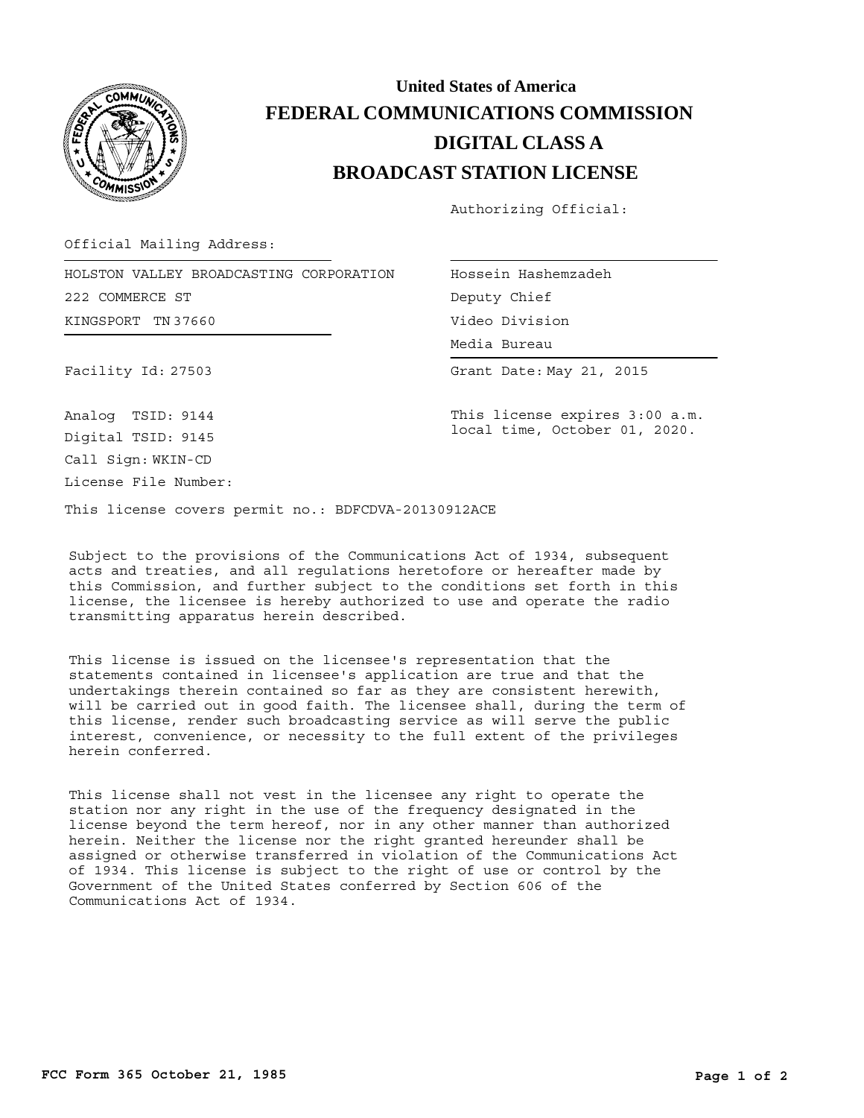

## **BROADCAST STATION LICENSE DIGITAL CLASS A FEDERAL COMMUNICATIONS COMMISSION United States of America**

Authorizing Official:

Official Mailing Address:

KINGSPORT TN 37660 HOLSTON VALLEY BROADCASTING CORPORATION 222 COMMERCE ST

Hossein Hashemzadeh Deputy Chief Video Division

Media Bureau Media Bureau

Facility Id: 27503

Grant Date: May 21, 2015

This license expires 3:00 a.m. local time, October 01, 2020.

Call Sign: WKIN-CD License File Number: Analog TSID: 9144 Digital TSID: 9145

This license covers permit no.: BDFCDVA-20130912ACE

Subject to the provisions of the Communications Act of 1934, subsequent acts and treaties, and all regulations heretofore or hereafter made by this Commission, and further subject to the conditions set forth in this license, the licensee is hereby authorized to use and operate the radio transmitting apparatus herein described.

This license is issued on the licensee's representation that the statements contained in licensee's application are true and that the undertakings therein contained so far as they are consistent herewith, will be carried out in good faith. The licensee shall, during the term of this license, render such broadcasting service as will serve the public interest, convenience, or necessity to the full extent of the privileges herein conferred.

This license shall not vest in the licensee any right to operate the station nor any right in the use of the frequency designated in the license beyond the term hereof, nor in any other manner than authorized herein. Neither the license nor the right granted hereunder shall be assigned or otherwise transferred in violation of the Communications Act of 1934. This license is subject to the right of use or control by the Government of the United States conferred by Section 606 of the Communications Act of 1934.